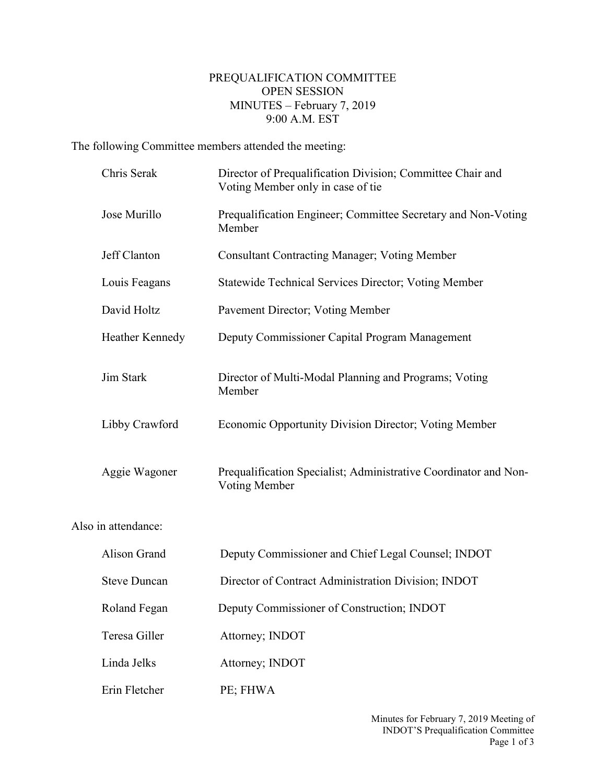## PREQUALIFICATION COMMITTEE OPEN SESSION MINUTES – February 7, 2019 9:00 A.M. EST

The following Committee members attended the meeting:

Also

| Chris Serak         | Director of Prequalification Division; Committee Chair and<br>Voting Member only in case of tie |
|---------------------|-------------------------------------------------------------------------------------------------|
| Jose Murillo        | Prequalification Engineer; Committee Secretary and Non-Voting<br>Member                         |
| Jeff Clanton        | <b>Consultant Contracting Manager; Voting Member</b>                                            |
| Louis Feagans       | Statewide Technical Services Director; Voting Member                                            |
| David Holtz         | Pavement Director; Voting Member                                                                |
| Heather Kennedy     | Deputy Commissioner Capital Program Management                                                  |
| Jim Stark           | Director of Multi-Modal Planning and Programs; Voting<br>Member                                 |
| Libby Crawford      | Economic Opportunity Division Director; Voting Member                                           |
| Aggie Wagoner       | Prequalification Specialist; Administrative Coordinator and Non-<br>Voting Member               |
| in attendance:      |                                                                                                 |
| Alison Grand        | Deputy Commissioner and Chief Legal Counsel; INDOT                                              |
| <b>Steve Duncan</b> | Director of Contract Administration Division; INDOT                                             |
| Roland Fegan        | Deputy Commissioner of Construction; INDOT                                                      |
| Teresa Giller       | Attorney; INDOT                                                                                 |
| Linda Jelks         | Attorney; INDOT                                                                                 |
| Erin Fletcher       | PE; FHWA                                                                                        |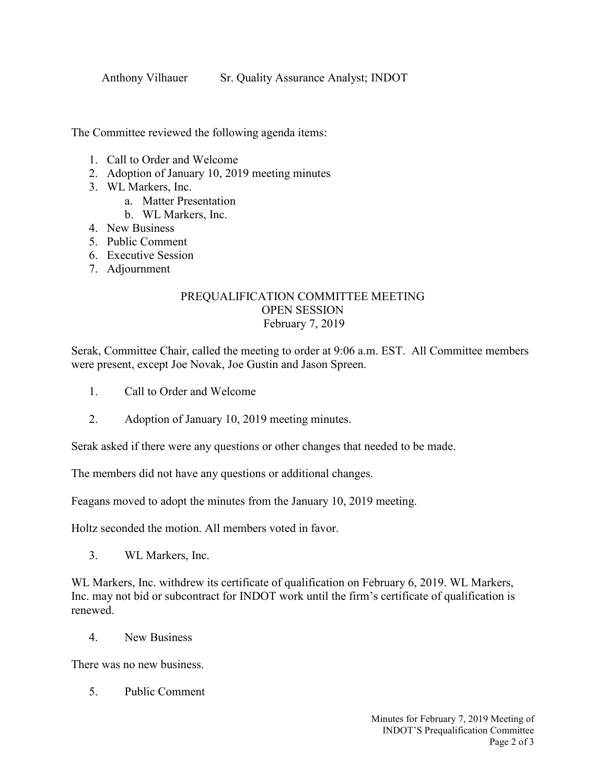Anthony Vilhauer Sr. Quality Assurance Analyst; INDOT

The Committee reviewed the following agenda items:

- 1. Call to Order and Welcome
- 2. Adoption of January 10, 2019 meeting minutes
- 3. WL Markers, Inc.
	- a. Matter Presentation
	- b. WL Markers, Inc.
- 4. New Business
- 5. Public Comment
- 6. Executive Session
- 7. Adjournment

## PREQUALIFICATION COMMITTEE MEETING OPEN SESSION February 7, 2019

Serak, Committee Chair, called the meeting to order at 9:06 a.m. EST. All Committee members were present, except Joe Novak, Joe Gustin and Jason Spreen.

- 1. Call to Order and Welcome
- 2. Adoption of January 10, 2019 meeting minutes.

Serak asked if there were any questions or other changes that needed to be made.

The members did not have any questions or additional changes.

Feagans moved to adopt the minutes from the January 10, 2019 meeting.

Holtz seconded the motion. All members voted in favor.

3. WL Markers, Inc.

WL Markers, Inc. withdrew its certificate of qualification on February 6, 2019. WL Markers, Inc. may not bid or subcontract for INDOT work until the firm's certificate of qualification is renewed.

4. New Business

There was no new business.

5. Public Comment